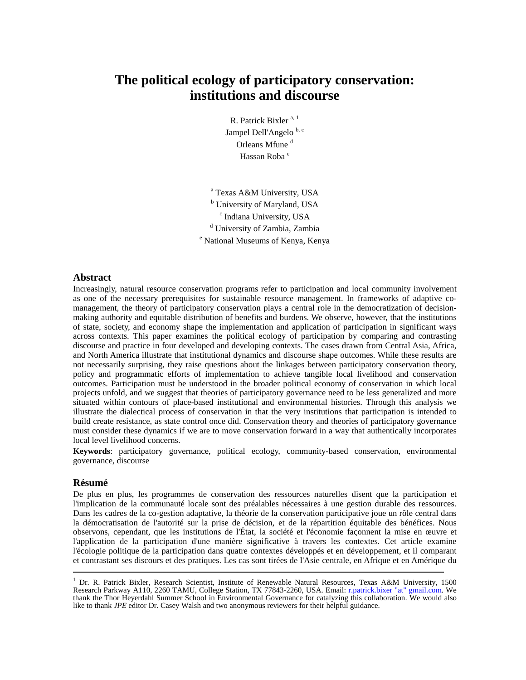# **The political ecology of participatory conservation: institutions and discourse**

R. Patrick Bixler  $a, b$ Jampel Dell'Angelo<sup>b, c</sup> Orleans Mfune<sup>d</sup> Hassan Roba<sup>e</sup>

<sup>a</sup> Texas A&M University, USA <sup>b</sup> University of Maryland, USA <sup>c</sup> Indiana University, USA <sup>d</sup> University of Zambia, Zambia <sup>e</sup> National Museums of Kenya, Kenya

# **Abstract**

Increasingly, natural resource conservation programs refer to participation and local community involvement as one of the necessary prerequisites for sustainable resource management. In frameworks of adaptive comanagement, the theory of participatory conservation plays a central role in the democratization of decisionmaking authority and equitable distribution of benefits and burdens. We observe, however, that the institutions of state, society, and economy shape the implementation and application of participation in significant ways across contexts. This paper examines the political ecology of participation by comparing and contrasting discourse and practice in four developed and developing contexts. The cases drawn from Central Asia, Africa, and North America illustrate that institutional dynamics and discourse shape outcomes. While these results are not necessarily surprising, they raise questions about the linkages between participatory conservation theory, policy and programmatic efforts of implementation to achieve tangible local livelihood and conservation outcomes. Participation must be understood in the broader political economy of conservation in which local projects unfold, and we suggest that theories of participatory governance need to be less generalized and more situated within contours of place-based institutional and environmental histories. Through this analysis we illustrate the dialectical process of conservation in that the very institutions that participation is intended to build create resistance, as state control once did. Conservation theory and theories of participatory governance must consider these dynamics if we are to move conservation forward in a way that authentically incorporates local level livelihood concerns.

**Keywords**: participatory governance, political ecology, community-based conservation, environmental governance, discourse

# **Résumé**

 $\overline{a}$ 

De plus en plus, les programmes de conservation des ressources naturelles disent que la participation et l'implication de la communauté locale sont des préalables nécessaires à une gestion durable des ressources. Dans les cadres de la co-gestion adaptative, la théorie de la conservation participative joue un rôle central dans la démocratisation de l'autorité sur la prise de décision, et de la répartition équitable des bénéfices. Nous observons, cependant, que les institutions de l'État, la société et l'économie façonnent la mise en œuvre et l'application de la participation d'une manière significative à travers les contextes. Cet article examine l'écologie politique de la participation dans quatre contextes développés et en développement, et il comparant et contrastant ses discours et des pratiques. Les cas sont tirées de l'Asie centrale, en Afrique et en Amérique du

<span id="page-0-0"></span><sup>&</sup>lt;sup>1</sup> Dr. R. Patrick Bixler, Research Scientist, Institute of Renewable Natural Resources, Texas A&M University, 1500 Research Parkway A110, 2260 TAMU, College Station, TX 77843-2260, USA. Email: r.patrick.bixer "at" gmail.com. We thank the Thor Heyerdahl Summer School in Environmental Governance for catalyzing this collaboration. We would also like to thank *JPE* editor Dr. Casey Walsh and two anonymous reviewers for their helpful guidance.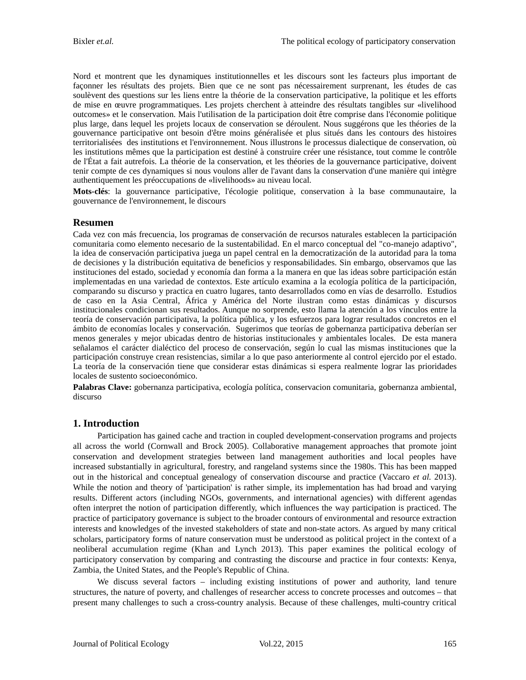Nord et montrent que les dynamiques institutionnelles et les discours sont les facteurs plus important de façonner les résultats des projets. Bien que ce ne sont pas nécessairement surprenant, les études de cas soulèvent des questions sur les liens entre la théorie de la conservation participative, la politique et les efforts de mise en œuvre programmatiques. Les projets cherchent à atteindre des résultats tangibles sur «livelihood outcomes» et le conservation. Mais l'utilisation de la participation doit être comprise dans l'économie politique plus large, dans lequel les projets locaux de conservation se déroulent. Nous suggérons que les théories de la gouvernance participative ont besoin d'être moins généralisée et plus situés dans les contours des histoires territorialisées des institutions et l'environnement. Nous illustrons le processus dialectique de conservation, où les institutions mêmes que la participation est destiné à construire créer une résistance, tout comme le contrôle de l'État a fait autrefois. La théorie de la conservation, et les théories de la gouvernance participative, doivent tenir compte de ces dynamiques si nous voulons aller de l'avant dans la conservation d'une manière qui intègre authentiquement les préoccupations de «livelihoods» au niveau local.

**Mots-clés**: la gouvernance participative, l'écologie politique, conservation à la base communautaire, la gouvernance de l'environnement, le discours

# **Resumen**

Cada vez con más frecuencia, los programas de conservación de recursos naturales establecen la participación comunitaria como elemento necesario de la sustentabilidad. En el marco conceptual del "co-manejo adaptivo", la idea de conservación participativa juega un papel central en la democratización de la autoridad para la toma de decisiones y la distribución equitativa de beneficios y responsabilidades. Sin embargo, observamos que las instituciones del estado, sociedad y economía dan forma a la manera en que las ideas sobre participación están implementadas en una variedad de contextos. Este artículo examina a la ecología política de la participación, comparando su discurso y practica en cuatro lugares, tanto desarrollados como en vías de desarrollo. Estudios de caso en la Asia Central, África y América del Norte ilustran como estas dinámicas y discursos institucionales condicionan sus resultados. Aunque no sorprende, esto llama la atención a los vínculos entre la teoría de conservación participativa, la política pública, y los esfuerzos para lograr resultados concretos en el ámbito de economías locales y conservación. Sugerimos que teorías de gobernanza participativa deberían ser menos generales y mejor ubicadas dentro de historias institucionales y ambientales locales. De esta manera señalamos el carácter dialéctico del proceso de conservación, según lo cual las mismas instituciones que la participación construye crean resistencias, similar a lo que paso anteriormente al control ejercido por el estado. La teoría de la conservación tiene que considerar estas dinámicas si espera realmente lograr las prioridades locales de sustento socioeconómico.

**Palabras Clave:** gobernanza participativa, ecología política, conservacion comunitaria, gobernanza ambiental, discurso

# **1. Introduction**

Participation has gained cache and traction in coupled development-conservation programs and projects all across the world (Cornwall and Brock 2005). Collaborative management approaches that promote joint conservation and development strategies between land management authorities and local peoples have increased substantially in agricultural, forestry, and rangeland systems since the 1980s. This has been mapped out in the historical and conceptual genealogy of conservation discourse and practice (Vaccaro *et al.* 2013). While the notion and theory of 'participation' is rather simple, its implementation has had broad and varying results. Different actors (including NGOs, governments, and international agencies) with different agendas often interpret the notion of participation differently, which influences the way participation is practiced. The practice of participatory governance is subject to the broader contours of environmental and resource extraction interests and knowledges of the invested stakeholders of state and non-state actors. As argued by many critical scholars, participatory forms of nature conservation must be understood as political project in the context of a neoliberal accumulation regime (Khan and Lynch 2013). This paper examines the political ecology of participatory conservation by comparing and contrasting the discourse and practice in four contexts: Kenya, Zambia, the United States, and the People's Republic of China.

We discuss several factors – including existing institutions of power and authority, land tenure structures, the nature of poverty, and challenges of researcher access to concrete processes and outcomes – that present many challenges to such a cross-country analysis. Because of these challenges, multi-country critical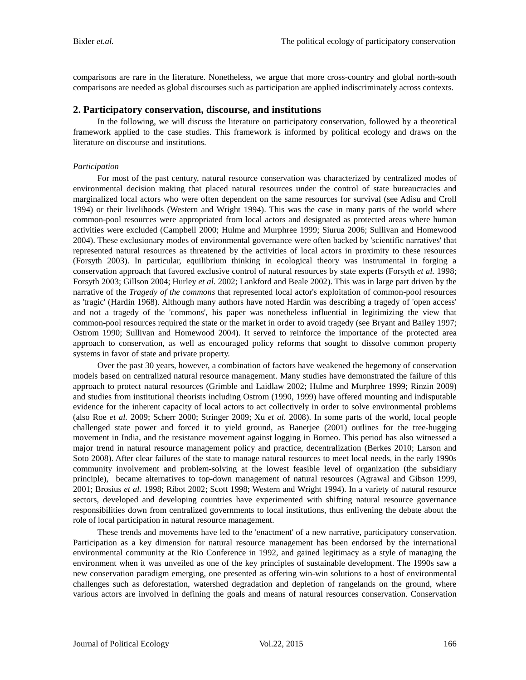comparisons are rare in the literature. Nonetheless, we argue that more cross-country and global north-south comparisons are needed as global discourses such as participation are applied indiscriminately across contexts.

### **2. Participatory conservation, discourse, and institutions**

In the following, we will discuss the literature on participatory conservation, followed by a theoretical framework applied to the case studies. This framework is informed by political ecology and draws on the literature on discourse and institutions.

### *Participation*

For most of the past century, natural resource conservation was characterized by centralized modes of environmental decision making that placed natural resources under the control of state bureaucracies and marginalized local actors who were often dependent on the same resources for survival (see Adisu and Croll 1994) or their livelihoods (Western and Wright 1994). This was the case in many parts of the world where common-pool resources were appropriated from local actors and designated as protected areas where human activities were excluded (Campbell 2000; Hulme and Murphree 1999; Siurua 2006; Sullivan and Homewood 2004). These exclusionary modes of environmental governance were often backed by 'scientific narratives' that represented natural resources as threatened by the activities of local actors in proximity to these resources (Forsyth 2003). In particular, equilibrium thinking in ecological theory was instrumental in forging a conservation approach that favored exclusive control of natural resources by state experts (Forsyth *et al.* 1998; Forsyth 2003; Gillson 2004; Hurley *et al.* 2002; Lankford and Beale 2002). This was in large part driven by the narrative of the *Tragedy of the commons* that represented local actor's exploitation of common-pool resources as 'tragic' (Hardin 1968). Although many authors have noted Hardin was describing a tragedy of 'open access' and not a tragedy of the 'commons', his paper was nonetheless influential in legitimizing the view that common-pool resources required the state or the market in order to avoid tragedy (see Bryant and Bailey 1997; Ostrom 1990; Sullivan and Homewood 2004). It served to reinforce the importance of the protected area approach to conservation, as well as encouraged policy reforms that sought to dissolve common property systems in favor of state and private property.

Over the past 30 years, however, a combination of factors have weakened the hegemony of conservation models based on centralized natural resource management. Many studies have demonstrated the failure of this approach to protect natural resources (Grimble and Laidlaw 2002; Hulme and Murphree 1999; Rinzin 2009) and studies from institutional theorists including Ostrom (1990, 1999) have offered mounting and indisputable evidence for the inherent capacity of local actors to act collectively in order to solve environmental problems (also Roe *et al.* 2009; Scherr 2000; Stringer 2009; Xu *et al.* 2008). In some parts of the world, local people challenged state power and forced it to yield ground, as Banerjee (2001) outlines for the tree-hugging movement in India, and the resistance movement against logging in Borneo. This period has also witnessed a major trend in natural resource management policy and practice, decentralization (Berkes 2010; Larson and Soto 2008). After clear failures of the state to manage natural resources to meet local needs, in the early 1990s community involvement and problem-solving at the lowest feasible level of organization (the subsidiary principle), became alternatives to top-down management of natural resources (Agrawal and Gibson 1999, 2001; Brosius *et al.* 1998; Ribot 2002; Scott 1998; Western and Wright 1994). In a variety of natural resource sectors, developed and developing countries have experimented with shifting natural resource governance responsibilities down from centralized governments to local institutions, thus enlivening the debate about the role of local participation in natural resource management.

These trends and movements have led to the 'enactment' of a new narrative, participatory conservation. Participation as a key dimension for natural resource management has been endorsed by the international environmental community at the Rio Conference in 1992, and gained legitimacy as a style of managing the environment when it was unveiled as one of the key principles of sustainable development. The 1990s saw a new conservation paradigm emerging, one presented as offering win-win solutions to a host of environmental challenges such as deforestation, watershed degradation and depletion of rangelands on the ground, where various actors are involved in defining the goals and means of natural resources conservation. Conservation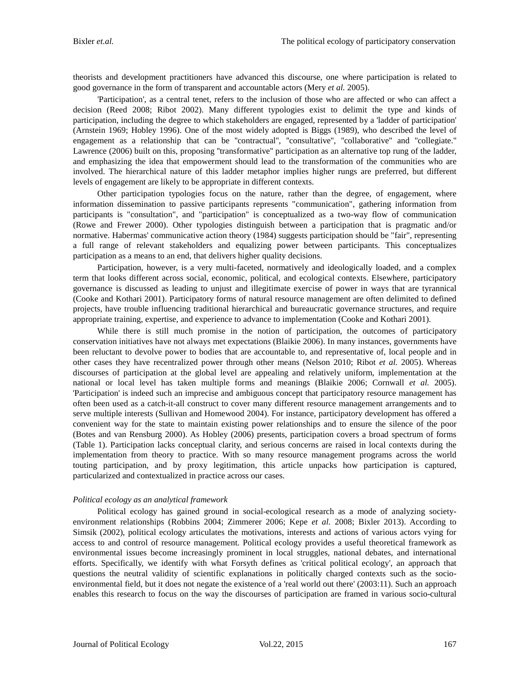theorists and development practitioners have advanced this discourse, one where participation is related to good governance in the form of transparent and accountable actors (Mery *et al.* 2005).

'Participation', as a central tenet, refers to the inclusion of those who are affected or who can affect a decision (Reed 2008; Ribot 2002). Many different typologies exist to delimit the type and kinds of participation, including the degree to which stakeholders are engaged, represented by a 'ladder of participation' (Arnstein 1969; Hobley 1996). One of the most widely adopted is Biggs (1989), who described the level of engagement as a relationship that can be ''contractual'', ''consultative'', ''collaborative'' and ''collegiate.'' Lawrence (2006) built on this, proposing ''transformative'' participation as an alternative top rung of the ladder, and emphasizing the idea that empowerment should lead to the transformation of the communities who are involved. The hierarchical nature of this ladder metaphor implies higher rungs are preferred, but different levels of engagement are likely to be appropriate in different contexts.

Other participation typologies focus on the nature, rather than the degree, of engagement, where information dissemination to passive participants represents "communication", gathering information from participants is "consultation", and "participation" is conceptualized as a two-way flow of communication (Rowe and Frewer 2000). Other typologies distinguish between a participation that is pragmatic and/or normative. Habermas' communicative action theory (1984) suggests participation should be "fair", representing a full range of relevant stakeholders and equalizing power between participants. This conceptualizes participation as a means to an end, that delivers higher quality decisions.

Participation, however, is a very multi-faceted, normatively and ideologically loaded, and a complex term that looks different across social, economic, political, and ecological contexts. Elsewhere, participatory governance is discussed as leading to unjust and illegitimate exercise of power in ways that are tyrannical (Cooke and Kothari 2001). Participatory forms of natural resource management are often delimited to defined projects, have trouble influencing traditional hierarchical and bureaucratic governance structures, and require appropriate training, expertise, and experience to advance to implementation (Cooke and Kothari 2001).

While there is still much promise in the notion of participation, the outcomes of participatory conservation initiatives have not always met expectations (Blaikie 2006). In many instances, governments have been reluctant to devolve power to bodies that are accountable to, and representative of, local people and in other cases they have recentralized power through other means (Nelson 2010; Ribot *et al.* 2005). Whereas discourses of participation at the global level are appealing and relatively uniform, implementation at the national or local level has taken multiple forms and meanings (Blaikie 2006; Cornwall *et al.* 2005). 'Participation' is indeed such an imprecise and ambiguous concept that participatory resource management has often been used as a catch-it-all construct to cover many different resource management arrangements and to serve multiple interests (Sullivan and Homewood 2004). For instance, participatory development has offered a convenient way for the state to maintain existing power relationships and to ensure the silence of the poor (Botes and van Rensburg 2000). As Hobley (2006) presents, participation covers a broad spectrum of forms (Table 1). Participation lacks conceptual clarity, and serious concerns are raised in local contexts during the implementation from theory to practice. With so many resource management programs across the world touting participation, and by proxy legitimation, this article unpacks how participation is captured, particularized and contextualized in practice across our cases.

### *Political ecology as an analytical framework*

Political ecology has gained ground in social-ecological research as a mode of analyzing societyenvironment relationships (Robbins 2004; Zimmerer 2006; Kepe *et al.* 2008; Bixler 2013). According to Simsik (2002), political ecology articulates the motivations, interests and actions of various actors vying for access to and control of resource management. Political ecology provides a useful theoretical framework as environmental issues become increasingly prominent in local struggles, national debates, and international efforts. Specifically, we identify with what Forsyth defines as 'critical political ecology', an approach that questions the neutral validity of scientific explanations in politically charged contexts such as the socioenvironmental field, but it does not negate the existence of a 'real world out there' (2003:11). Such an approach enables this research to focus on the way the discourses of participation are framed in various socio-cultural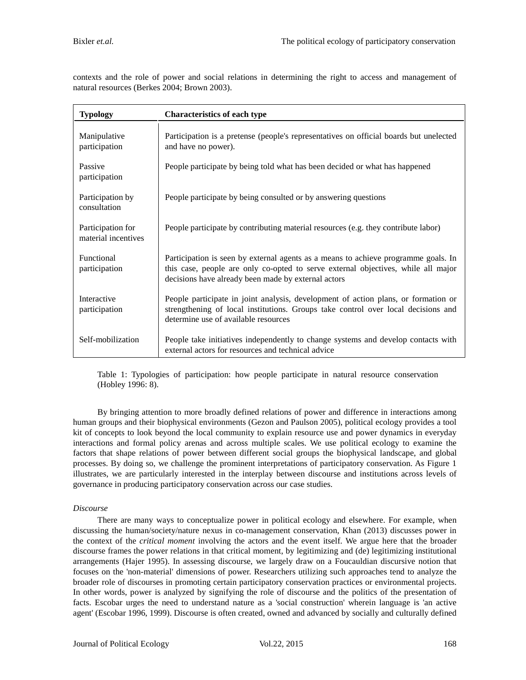contexts and the role of power and social relations in determining the right to access and management of natural resources (Berkes 2004; Brown 2003).

| <b>Typology</b>                          | <b>Characteristics of each type</b>                                                                                                                                                                                            |  |  |  |
|------------------------------------------|--------------------------------------------------------------------------------------------------------------------------------------------------------------------------------------------------------------------------------|--|--|--|
| Manipulative<br>participation            | Participation is a pretense (people's representatives on official boards but unelected<br>and have no power).                                                                                                                  |  |  |  |
| Passive<br>participation                 | People participate by being told what has been decided or what has happened                                                                                                                                                    |  |  |  |
| Participation by<br>consultation         | People participate by being consulted or by answering questions                                                                                                                                                                |  |  |  |
| Participation for<br>material incentives | People participate by contributing material resources (e.g. they contribute labor)                                                                                                                                             |  |  |  |
| <b>Functional</b><br>participation       | Participation is seen by external agents as a means to achieve programme goals. In<br>this case, people are only co-opted to serve external objectives, while all major<br>decisions have already been made by external actors |  |  |  |
| Interactive<br>participation             | People participate in joint analysis, development of action plans, or formation or<br>strengthening of local institutions. Groups take control over local decisions and<br>determine use of available resources                |  |  |  |
| Self-mobilization                        | People take initiatives independently to change systems and develop contacts with<br>external actors for resources and technical advice                                                                                        |  |  |  |

Table 1: Typologies of participation: how people participate in natural resource conservation (Hobley 1996: 8).

By bringing attention to more broadly defined relations of power and difference in interactions among human groups and their biophysical environments (Gezon and Paulson 2005), political ecology provides a tool kit of concepts to look beyond the local community to explain resource use and power dynamics in everyday interactions and formal policy arenas and across multiple scales. We use political ecology to examine the factors that shape relations of power between different social groups the biophysical landscape, and global processes. By doing so, we challenge the prominent interpretations of participatory conservation. As Figure 1 illustrates, we are particularly interested in the interplay between discourse and institutions across levels of governance in producing participatory conservation across our case studies.

# *Discourse*

There are many ways to conceptualize power in political ecology and elsewhere. For example, when discussing the human/society/nature nexus in co-management conservation, Khan (2013) discusses power in the context of the *critical moment* involving the actors and the event itself. We argue here that the broader discourse frames the power relations in that critical moment, by legitimizing and (de) legitimizing institutional arrangements (Hajer 1995). In assessing discourse, we largely draw on a Foucauldian discursive notion that focuses on the 'non-material' dimensions of power. Researchers utilizing such approaches tend to analyze the broader role of discourses in promoting certain participatory conservation practices or environmental projects. In other words, power is analyzed by signifying the role of discourse and the politics of the presentation of facts. Escobar urges the need to understand nature as a 'social construction' wherein language is 'an active agent' (Escobar 1996, 1999). Discourse is often created, owned and advanced by socially and culturally defined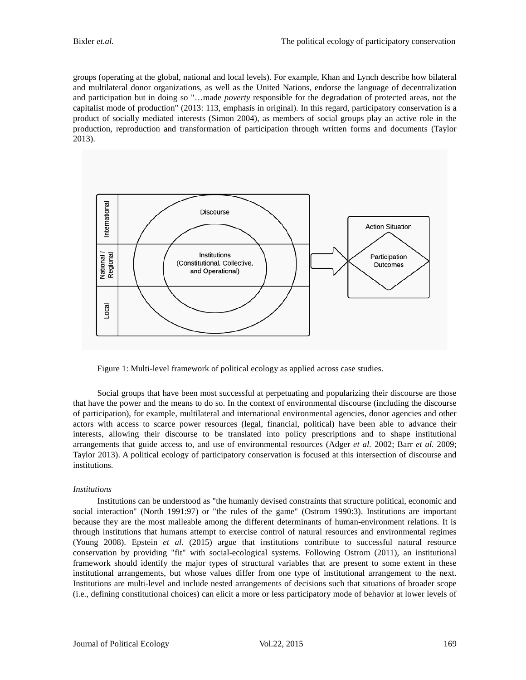groups (operating at the global, national and local levels). For example, Khan and Lynch describe how bilateral and multilateral donor organizations, as well as the United Nations, endorse the language of decentralization and participation but in doing so "…made *poverty* responsible for the degradation of protected areas, not the capitalist mode of production" (2013: 113, emphasis in original). In this regard, participatory conservation is a product of socially mediated interests (Simon 2004), as members of social groups play an active role in the production, reproduction and transformation of participation through written forms and documents (Taylor 2013).



Figure 1: Multi-level framework of political ecology as applied across case studies.

Social groups that have been most successful at perpetuating and popularizing their discourse are those that have the power and the means to do so. In the context of environmental discourse (including the discourse of participation), for example, multilateral and international environmental agencies, donor agencies and other actors with access to scarce power resources (legal, financial, political) have been able to advance their interests, allowing their discourse to be translated into policy prescriptions and to shape institutional arrangements that guide access to, and use of environmental resources (Adger *et al.* 2002; Barr *et al.* 2009; Taylor 2013). A political ecology of participatory conservation is focused at this intersection of discourse and institutions.

### *Institutions*

Institutions can be understood as "the humanly devised constraints that structure political, economic and social interaction" (North 1991:97) or "the rules of the game" (Ostrom 1990:3). Institutions are important because they are the most malleable among the different determinants of human-environment relations. It is through institutions that humans attempt to exercise control of natural resources and environmental regimes (Young 2008). Epstein *et al.* (2015) argue that institutions contribute to successful natural resource conservation by providing "fit" with social-ecological systems. Following Ostrom (2011), an institutional framework should identify the major types of structural variables that are present to some extent in these institutional arrangements, but whose values differ from one type of institutional arrangement to the next. Institutions are multi-level and include nested arrangements of decisions such that situations of broader scope (i.e., defining constitutional choices) can elicit a more or less participatory mode of behavior at lower levels of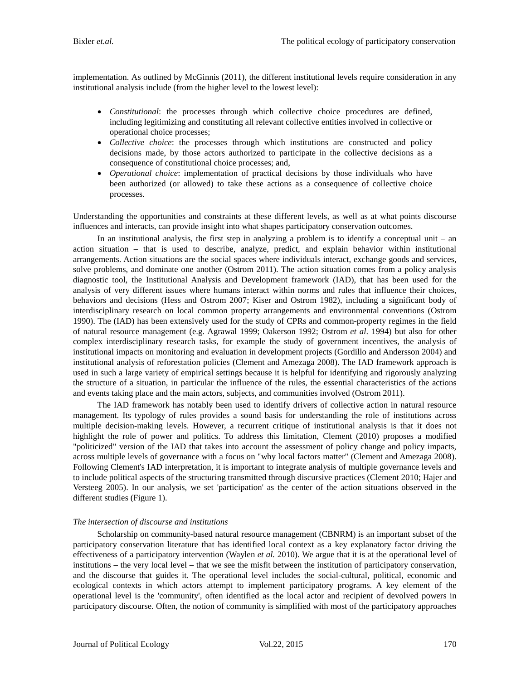implementation. As outlined by McGinnis (2011), the different institutional levels require consideration in any institutional analysis include (from the higher level to the lowest level):

- *Constitutional*: the processes through which collective choice procedures are defined, including legitimizing and constituting all relevant collective entities involved in collective or operational choice processes;
- *Collective choice*: the processes through which institutions are constructed and policy decisions made, by those actors authorized to participate in the collective decisions as a consequence of constitutional choice processes; and,
- *Operational choice*: implementation of practical decisions by those individuals who have been authorized (or allowed) to take these actions as a consequence of collective choice processes.

Understanding the opportunities and constraints at these different levels, as well as at what points discourse influences and interacts, can provide insight into what shapes participatory conservation outcomes.

In an institutional analysis, the first step in analyzing a problem is to identify a conceptual unit – an action situation – that is used to describe, analyze, predict, and explain behavior within institutional arrangements. Action situations are the social spaces where individuals interact, exchange goods and services, solve problems, and dominate one another (Ostrom 2011). The action situation comes from a policy analysis diagnostic tool, the Institutional Analysis and Development framework (IAD), that has been used for the analysis of very different issues where humans interact within norms and rules that influence their choices, behaviors and decisions (Hess and Ostrom 2007; Kiser and Ostrom 1982), including a significant body of interdisciplinary research on local common property arrangements and environmental conventions (Ostrom 1990). The (IAD) has been extensively used for the study of CPRs and common-property regimes in the field of natural resource management (e.g. Agrawal 1999; Oakerson 1992; Ostrom *et al*. 1994) but also for other complex interdisciplinary research tasks, for example the study of government incentives, the analysis of institutional impacts on monitoring and evaluation in development projects (Gordillo and Andersson 2004) and institutional analysis of reforestation policies (Clement and Amezaga 2008). The IAD framework approach is used in such a large variety of empirical settings because it is helpful for identifying and rigorously analyzing the structure of a situation, in particular the influence of the rules, the essential characteristics of the actions and events taking place and the main actors, subjects, and communities involved (Ostrom 2011).

The IAD framework has notably been used to identify drivers of collective action in natural resource management. Its typology of rules provides a sound basis for understanding the role of institutions across multiple decision-making levels. However, a recurrent critique of institutional analysis is that it does not highlight the role of power and politics. To address this limitation, Clement (2010) proposes a modified "politicized" version of the IAD that takes into account the assessment of policy change and policy impacts, across multiple levels of governance with a focus on "why local factors matter" (Clement and Amezaga 2008). Following Clement's IAD interpretation, it is important to integrate analysis of multiple governance levels and to include political aspects of the structuring transmitted through discursive practices (Clement 2010; Hajer and Versteeg 2005). In our analysis, we set 'participation' as the center of the action situations observed in the different studies (Figure 1).

### *The intersection of discourse and institutions*

Scholarship on community-based natural resource management (CBNRM) is an important subset of the participatory conservation literature that has identified local context as a key explanatory factor driving the effectiveness of a participatory intervention (Waylen *et al.* 2010). We argue that it is at the operational level of institutions – the very local level – that we see the misfit between the institution of participatory conservation, and the discourse that guides it. The operational level includes the social-cultural, political, economic and ecological contexts in which actors attempt to implement participatory programs. A key element of the operational level is the 'community', often identified as the local actor and recipient of devolved powers in participatory discourse. Often, the notion of community is simplified with most of the participatory approaches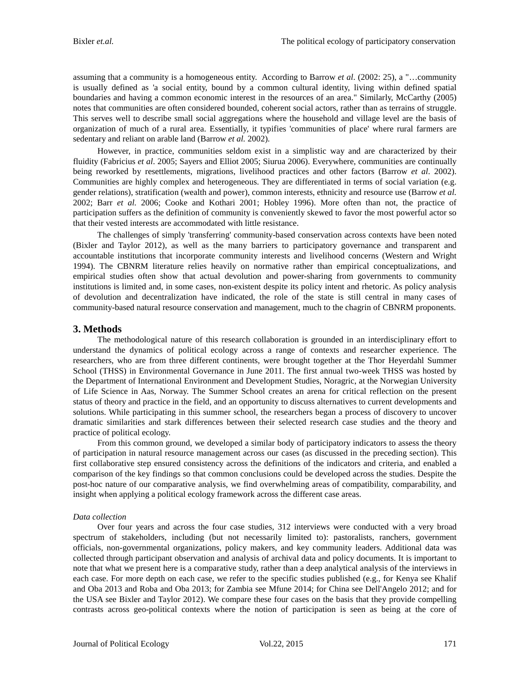assuming that a community is a homogeneous entity. According to Barrow *et al*. (2002: 25), a "…community is usually defined as 'a social entity, bound by a common cultural identity, living within defined spatial boundaries and having a common economic interest in the resources of an area." Similarly, McCarthy (2005) notes that communities are often considered bounded, coherent social actors, rather than as terrains of struggle. This serves well to describe small social aggregations where the household and village level are the basis of organization of much of a rural area. Essentially, it typifies 'communities of place' where rural farmers are sedentary and reliant on arable land (Barrow *et al.* 2002).

However, in practice, communities seldom exist in a simplistic way and are characterized by their fluidity (Fabricius *et al*. 2005; Sayers and Elliot 2005; Siurua 2006). Everywhere, communities are continually being reworked by resettlements, migrations, livelihood practices and other factors (Barrow *et al*. 2002). Communities are highly complex and heterogeneous. They are differentiated in terms of social variation (e.g. gender relations), stratification (wealth and power), common interests, ethnicity and resource use (Barrow *et al.* 2002; Barr *et al.* 2006; Cooke and Kothari 2001; Hobley 1996). More often than not, the practice of participation suffers as the definition of community is conveniently skewed to favor the most powerful actor so that their vested interests are accommodated with little resistance.

The challenges of simply 'transferring' community-based conservation across contexts have been noted (Bixler and Taylor 2012), as well as the many barriers to participatory governance and transparent and accountable institutions that incorporate community interests and livelihood concerns (Western and Wright 1994). The CBNRM literature relies heavily on normative rather than empirical conceptualizations, and empirical studies often show that actual devolution and power-sharing from governments to community institutions is limited and, in some cases, non-existent despite its policy intent and rhetoric. As policy analysis of devolution and decentralization have indicated, the role of the state is still central in many cases of community-based natural resource conservation and management, much to the chagrin of CBNRM proponents.

# **3. Methods**

The methodological nature of this research collaboration is grounded in an interdisciplinary effort to understand the dynamics of political ecology across a range of contexts and researcher experience. The researchers, who are from three different continents, were brought together at the Thor Heyerdahl Summer School (THSS) in Environmental Governance in June 2011. The first annual two-week THSS was hosted by the Department of International Environment and Development Studies, Noragric, at the Norwegian University of Life Science in Aas, Norway. The Summer School creates an arena for critical reflection on the present status of theory and practice in the field, and an opportunity to discuss alternatives to current developments and solutions. While participating in this summer school, the researchers began a process of discovery to uncover dramatic similarities and stark differences between their selected research case studies and the theory and practice of political ecology.

From this common ground, we developed a similar body of participatory indicators to assess the theory of participation in natural resource management across our cases (as discussed in the preceding section). This first collaborative step ensured consistency across the definitions of the indicators and criteria, and enabled a comparison of the key findings so that common conclusions could be developed across the studies. Despite the post-hoc nature of our comparative analysis, we find overwhelming areas of compatibility, comparability, and insight when applying a political ecology framework across the different case areas.

### *Data collection*

Over four years and across the four case studies, 312 interviews were conducted with a very broad spectrum of stakeholders, including (but not necessarily limited to): pastoralists, ranchers, government officials, non-governmental organizations, policy makers, and key community leaders. Additional data was collected through participant observation and analysis of archival data and policy documents. It is important to note that what we present here is a comparative study, rather than a deep analytical analysis of the interviews in each case. For more depth on each case, we refer to the specific studies published (e.g., for Kenya see Khalif and Oba 2013 and Roba and Oba 2013; for Zambia see Mfune 2014; for China see Dell'Angelo 2012; and for the USA see Bixler and Taylor 2012). We compare these four cases on the basis that they provide compelling contrasts across geo-political contexts where the notion of participation is seen as being at the core of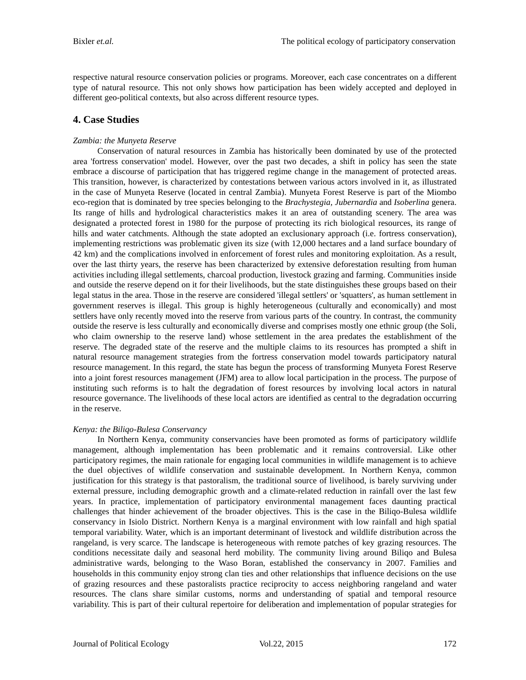respective natural resource conservation policies or programs. Moreover, each case concentrates on a different type of natural resource. This not only shows how participation has been widely accepted and deployed in different geo-political contexts, but also across different resource types.

# **4. Case Studies**

### *Zambia: the Munyeta Reserve*

Conservation of natural resources in Zambia has historically been dominated by use of the protected area 'fortress conservation' model. However, over the past two decades, a shift in policy has seen the state embrace a discourse of participation that has triggered regime change in the management of protected areas. This transition, however, is characterized by contestations between various actors involved in it, as illustrated in the case of Munyeta Reserve (located in central Zambia). Munyeta Forest Reserve is part of the Miombo eco-region that is dominated by tree species belonging to the *Brachystegia, Jubernardia* and *Isoberlina* genera. Its range of hills and hydrological characteristics makes it an area of outstanding scenery. The area was designated a protected forest in 1980 for the purpose of protecting its rich biological resources, its range of hills and water catchments. Although the state adopted an exclusionary approach (i.e. fortress conservation), implementing restrictions was problematic given its size (with 12,000 hectares and a land surface boundary of 42 km) and the complications involved in enforcement of forest rules and monitoring exploitation. As a result, over the last thirty years, the reserve has been characterized by extensive deforestation resulting from human activities including illegal settlements, charcoal production, livestock grazing and farming. Communities inside and outside the reserve depend on it for their livelihoods, but the state distinguishes these groups based on their legal status in the area. Those in the reserve are considered 'illegal settlers' or 'squatters', as human settlement in government reserves is illegal. This group is highly heterogeneous (culturally and economically) and most settlers have only recently moved into the reserve from various parts of the country. In contrast, the community outside the reserve is less culturally and economically diverse and comprises mostly one ethnic group (the Soli, who claim ownership to the reserve land) whose settlement in the area predates the establishment of the reserve. The degraded state of the reserve and the multiple claims to its resources has prompted a shift in natural resource management strategies from the fortress conservation model towards participatory natural resource management. In this regard, the state has begun the process of transforming Munyeta Forest Reserve into a joint forest resources management (JFM) area to allow local participation in the process. The purpose of instituting such reforms is to halt the degradation of forest resources by involving local actors in natural resource governance. The livelihoods of these local actors are identified as central to the degradation occurring in the reserve.

### *Kenya: the Biliqo-Bulesa Conservancy*

In Northern Kenya, community conservancies have been promoted as forms of participatory wildlife management, although implementation has been problematic and it remains controversial. Like other participatory regimes, the main rationale for engaging local communities in wildlife management is to achieve the duel objectives of wildlife conservation and sustainable development. In Northern Kenya, common justification for this strategy is that pastoralism, the traditional source of livelihood, is barely surviving under external pressure, including demographic growth and a climate-related reduction in rainfall over the last few years. In practice, implementation of participatory environmental management faces daunting practical challenges that hinder achievement of the broader objectives. This is the case in the Biliqo-Bulesa wildlife conservancy in Isiolo District. Northern Kenya is a marginal environment with low rainfall and high spatial temporal variability. Water, which is an important determinant of livestock and wildlife distribution across the rangeland, is very scarce. The landscape is heterogeneous with remote patches of key grazing resources. The conditions necessitate daily and seasonal herd mobility. The community living around Biliqo and Bulesa administrative wards, belonging to the Waso Boran, established the conservancy in 2007. Families and households in this community enjoy strong clan ties and other relationships that influence decisions on the use of grazing resources and these pastoralists practice reciprocity to access neighboring rangeland and water resources. The clans share similar customs, norms and understanding of spatial and temporal resource variability. This is part of their cultural repertoire for deliberation and implementation of popular strategies for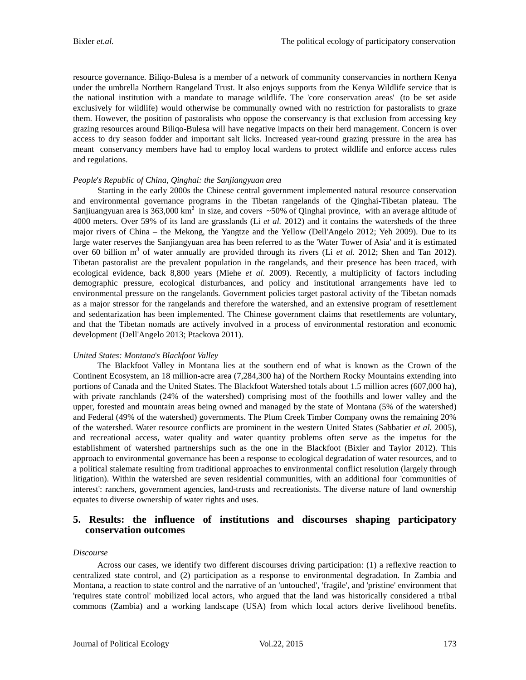resource governance. Biliqo-Bulesa is a member of a network of community conservancies in northern Kenya under the umbrella Northern Rangeland Trust. It also enjoys supports from the Kenya Wildlife service that is the national institution with a mandate to manage wildlife. The 'core conservation areas' (to be set aside exclusively for wildlife) would otherwise be communally owned with no restriction for pastoralists to graze them. However, the position of pastoralists who oppose the conservancy is that exclusion from accessing key grazing resources around Biliqo-Bulesa will have negative impacts on their herd management. Concern is over access to dry season fodder and important salt licks. Increased year-round grazing pressure in the area has meant conservancy members have had to employ local wardens to protect wildlife and enforce access rules and regulations.

### *People*'*s Republic of China, Qinghai: the Sanjiangyuan area*

Starting in the early 2000s the Chinese central government implemented natural resource conservation and environmental governance programs in the Tibetan rangelands of the Qinghai-Tibetan plateau. The Sanjiuangyuan area is 363,000 km<sup>2</sup> in size, and covers  $\sim$ 50% of Qinghai province, with an average altitude of 4000 meters. Over 59% of its land are grasslands (Li *et al.* 2012) and it contains the watersheds of the three major rivers of China – the Mekong, the Yangtze and the Yellow (Dell'Angelo 2012; Yeh 2009). Due to its large water reserves the Sanjiangyuan area has been referred to as the 'Water Tower of Asia' and it is estimated over 60 billion m<sup>3</sup> of water annually are provided through its rivers (Li *et al.* 2012; Shen and Tan 2012). Tibetan pastoralist are the prevalent population in the rangelands, and their presence has been traced, with ecological evidence, back 8,800 years (Miehe *et al.* 2009). Recently, a multiplicity of factors including demographic pressure, ecological disturbances, and policy and institutional arrangements have led to environmental pressure on the rangelands. Government policies target pastoral activity of the Tibetan nomads as a major stressor for the rangelands and therefore the watershed, and an extensive program of resettlement and sedentarization has been implemented. The Chinese government claims that resettlements are voluntary, and that the Tibetan nomads are actively involved in a process of environmental restoration and economic development (Dell'Angelo 2013; Ptackova 2011).

### *United States: Montana*'*s Blackfoot Valley*

The Blackfoot Valley in Montana lies at the southern end of what is known as the Crown of the Continent Ecosystem, an 18 million-acre area (7,284,300 ha) of the Northern Rocky Mountains extending into portions of Canada and the United States. The Blackfoot Watershed totals about 1.5 million acres (607,000 ha), with private ranchlands (24% of the watershed) comprising most of the foothills and lower valley and the upper, forested and mountain areas being owned and managed by the state of Montana (5% of the watershed) and Federal (49% of the watershed) governments. The Plum Creek Timber Company owns the remaining 20% of the watershed. Water resource conflicts are prominent in the western United States (Sabbatier *et al.* 2005), and recreational access, water quality and water quantity problems often serve as the impetus for the establishment of watershed partnerships such as the one in the Blackfoot (Bixler and Taylor 2012). This approach to environmental governance has been a response to ecological degradation of water resources, and to a political stalemate resulting from traditional approaches to environmental conflict resolution (largely through litigation). Within the watershed are seven residential communities, with an additional four 'communities of interest': ranchers, government agencies, land-trusts and recreationists. The diverse nature of land ownership equates to diverse ownership of water rights and uses.

# **5. Results: the influence of institutions and discourses shaping participatory conservation outcomes**

### *Discourse*

Across our cases, we identify two different discourses driving participation: (1) a reflexive reaction to centralized state control, and (2) participation as a response to environmental degradation. In Zambia and Montana, a reaction to state control and the narrative of an 'untouched', 'fragile', and 'pristine' environment that 'requires state control' mobilized local actors, who argued that the land was historically considered a tribal commons (Zambia) and a working landscape (USA) from which local actors derive livelihood benefits.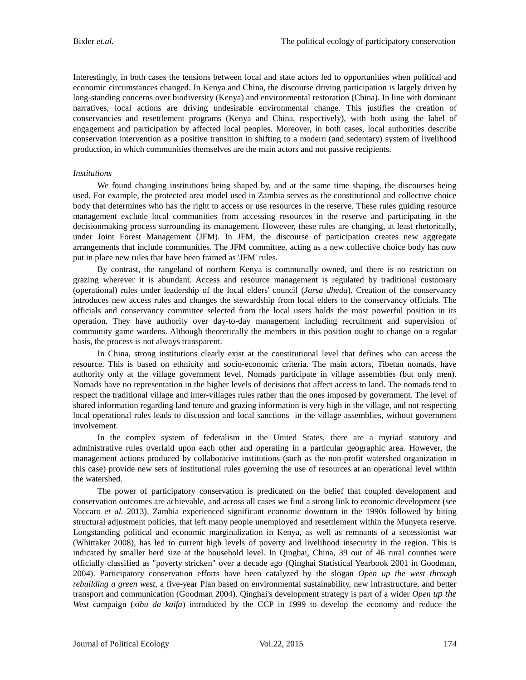Interestingly, in both cases the tensions between local and state actors led to opportunities when political and economic circumstances changed. In Kenya and China, the discourse driving participation is largely driven by long-standing concerns over biodiversity (Kenya) and environmental restoration (China). In line with dominant narratives, local actions are driving undesirable environmental change. This justifies the creation of conservancies and resettlement programs (Kenya and China, respectively), with both using the label of engagement and participation by affected local peoples. Moreover, in both cases, local authorities describe conservation intervention as a positive transition in shifting to a modern (and sedentary) system of livelihood production, in which communities themselves are the main actors and not passive recipients.

#### *Institutions*

We found changing institutions being shaped by, and at the same time shaping, the discourses being used. For example, the protected area model used in Zambia serves as the constitutional and collective choice body that determines who has the right to access or use resources in the reserve. These rules guiding resource management exclude local communities from accessing resources in the reserve and participating in the decisionmaking process surrounding its management. However, these rules are changing, at least rhetorically, under Joint Forest Management (JFM). In JFM, the discourse of participation creates new aggregate arrangements that include communities. The JFM committee, acting as a new collective choice body has now put in place new rules that have been framed as 'JFM' rules.

By contrast, the rangeland of northern Kenya is communally owned, and there is no restriction on grazing wherever it is abundant. Access and resource management is regulated by traditional customary (operational) rules under leadership of the local elders' council (*Jarsa dheda*). Creation of the conservancy introduces new access rules and changes the stewardship from local elders to the conservancy officials. The officials and conservancy committee selected from the local users holds the most powerful position in its operation. They have authority over day-to-day management including recruitment and supervision of community game wardens. Although theoretically the members in this position ought to change on a regular basis, the process is not always transparent.

In China, strong institutions clearly exist at the constitutional level that defines who can access the resource. This is based on ethnicity and socio-economic criteria. The main actors, Tibetan nomads, have authority only at the village government level. Nomads participate in village assemblies (but only men). Nomads have no representation in the higher levels of decisions that affect access to land. The nomads tend to respect the traditional village and inter-villages rules rather than the ones imposed by government. The level of shared information regarding land tenure and grazing information is very high in the village, and not respecting local operational rules leads to discussion and local sanctions in the village assemblies, without government involvement.

In the complex system of federalism in the United States, there are a myriad statutory and administrative rules overlaid upon each other and operating in a particular geographic area. However, the management actions produced by collaborative institutions (such as the non-profit watershed organization in this case) provide new sets of institutional rules governing the use of resources at an operational level within the watershed.

The power of participatory conservation is predicated on the belief that coupled development and conservation outcomes are achievable, and across all cases we find a strong link to economic development (see Vaccaro *et al.* 2013). Zambia experienced significant economic downturn in the 1990s followed by biting structural adjustment policies, that left many people unemployed and resettlement within the Munyeta reserve. Longstanding political and economic marginalization in Kenya, as well as remnants of a secessionist war (Whittaker 2008), has led to current high levels of poverty and livelihood insecurity in the region. This is indicated by smaller herd size at the household level. In Qinghai, China, 39 out of 46 rural counties were officially classified as "poverty stricken" over a decade ago (Qinghai Statistical Yearbook 2001 in Goodman, 2004). Participatory conservation efforts have been catalyzed by the slogan *Open up the west through rebuilding a green west*, a five-year Plan based on environmental sustainability, new infrastructure, and better transport and communication (Goodman 2004). Qinghai's development strategy is part of a wider *Open up the West* campaign (*xibu da kaifa*) introduced by the CCP in 1999 to develop the economy and reduce the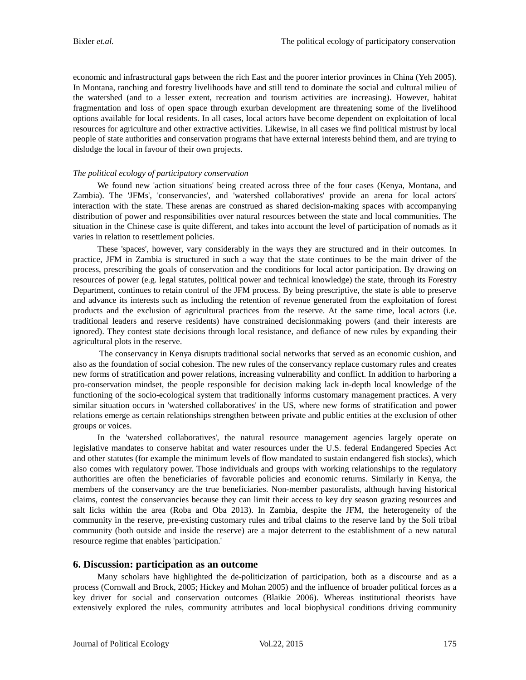economic and infrastructural gaps between the rich East and the poorer interior provinces in China (Yeh 2005). In Montana, ranching and forestry livelihoods have and still tend to dominate the social and cultural milieu of the watershed (and to a lesser extent, recreation and tourism activities are increasing). However, habitat fragmentation and loss of open space through exurban development are threatening some of the livelihood options available for local residents. In all cases, local actors have become dependent on exploitation of local resources for agriculture and other extractive activities. Likewise, in all cases we find political mistrust by local people of state authorities and conservation programs that have external interests behind them, and are trying to dislodge the local in favour of their own projects.

### *The political ecology of participatory conservation*

We found new 'action situations' being created across three of the four cases (Kenya, Montana, and Zambia). The 'JFMs', 'conservancies', and 'watershed collaboratives' provide an arena for local actors' interaction with the state. These arenas are construed as shared decision-making spaces with accompanying distribution of power and responsibilities over natural resources between the state and local communities. The situation in the Chinese case is quite different, and takes into account the level of participation of nomads as it varies in relation to resettlement policies.

These 'spaces', however, vary considerably in the ways they are structured and in their outcomes. In practice, JFM in Zambia is structured in such a way that the state continues to be the main driver of the process, prescribing the goals of conservation and the conditions for local actor participation. By drawing on resources of power (e.g. legal statutes, political power and technical knowledge) the state, through its Forestry Department, continues to retain control of the JFM process. By being prescriptive, the state is able to preserve and advance its interests such as including the retention of revenue generated from the exploitation of forest products and the exclusion of agricultural practices from the reserve. At the same time, local actors (i.e. traditional leaders and reserve residents) have constrained decisionmaking powers (and their interests are ignored). They contest state decisions through local resistance, and defiance of new rules by expanding their agricultural plots in the reserve.

The conservancy in Kenya disrupts traditional social networks that served as an economic cushion, and also as the foundation of social cohesion. The new rules of the conservancy replace customary rules and creates new forms of stratification and power relations, increasing vulnerability and conflict. In addition to harboring a pro-conservation mindset, the people responsible for decision making lack in-depth local knowledge of the functioning of the socio-ecological system that traditionally informs customary management practices. A very similar situation occurs in 'watershed collaboratives' in the US, where new forms of stratification and power relations emerge as certain relationships strengthen between private and public entities at the exclusion of other groups or voices.

In the 'watershed collaboratives', the natural resource management agencies largely operate on legislative mandates to conserve habitat and water resources under the U.S. federal Endangered Species Act and other statutes (for example the minimum levels of flow mandated to sustain endangered fish stocks), which also comes with regulatory power. Those individuals and groups with working relationships to the regulatory authorities are often the beneficiaries of favorable policies and economic returns. Similarly in Kenya, the members of the conservancy are the true beneficiaries. Non-member pastoralists, although having historical claims, contest the conservancies because they can limit their access to key dry season grazing resources and salt licks within the area (Roba and Oba 2013). In Zambia, despite the JFM, the heterogeneity of the community in the reserve, pre-existing customary rules and tribal claims to the reserve land by the Soli tribal community (both outside and inside the reserve) are a major deterrent to the establishment of a new natural resource regime that enables 'participation.'

# **6. Discussion: participation as an outcome**

Many scholars have highlighted the de-politicization of participation, both as a discourse and as a process (Cornwall and Brock, 2005; Hickey and Mohan 2005) and the influence of broader political forces as a key driver for social and conservation outcomes (Blaikie 2006). Whereas institutional theorists have extensively explored the rules, community attributes and local biophysical conditions driving community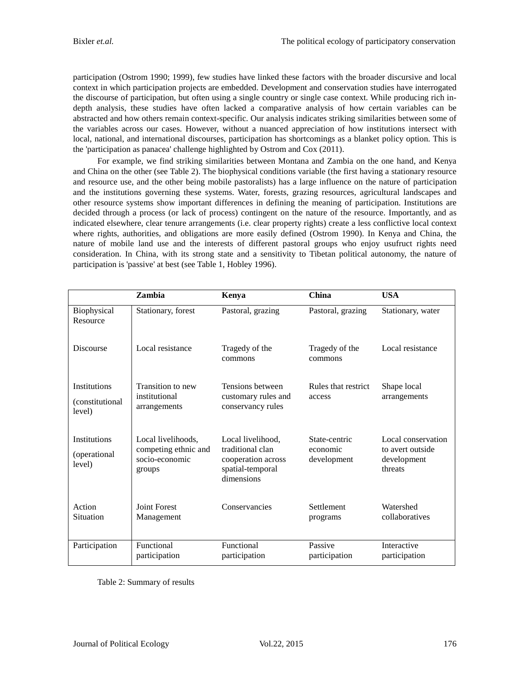participation (Ostrom 1990; 1999), few studies have linked these factors with the broader discursive and local context in which participation projects are embedded. Development and conservation studies have interrogated the discourse of participation, but often using a single country or single case context. While producing rich indepth analysis, these studies have often lacked a comparative analysis of how certain variables can be abstracted and how others remain context-specific. Our analysis indicates striking similarities between some of the variables across our cases. However, without a nuanced appreciation of how institutions intersect with local, national, and international discourses, participation has shortcomings as a blanket policy option. This is the 'participation as panacea' challenge highlighted by Ostrom and Cox (2011).

For example, we find striking similarities between Montana and Zambia on the one hand, and Kenya and China on the other (see Table 2). The biophysical conditions variable (the first having a stationary resource and resource use, and the other being mobile pastoralists) has a large influence on the nature of participation and the institutions governing these systems. Water, forests, grazing resources, agricultural landscapes and other resource systems show important differences in defining the meaning of participation. Institutions are decided through a process (or lack of process) contingent on the nature of the resource. Importantly, and as indicated elsewhere, clear tenure arrangements (i.e. clear property rights) create a less conflictive local context where rights, authorities, and obligations are more easily defined (Ostrom 1990). In Kenya and China, the nature of mobile land use and the interests of different pastoral groups who enjoy usufruct rights need consideration. In China, with its strong state and a sensitivity to Tibetan political autonomy, the nature of participation is 'passive' at best (see Table 1, Hobley 1996).

|                                               | <b>Zambia</b>                                                          | Kenva                                                                                         | China                                    | <b>USA</b>                                                       |
|-----------------------------------------------|------------------------------------------------------------------------|-----------------------------------------------------------------------------------------------|------------------------------------------|------------------------------------------------------------------|
| Biophysical<br>Resource                       | Stationary, forest                                                     | Pastoral, grazing                                                                             | Pastoral, grazing                        | Stationary, water                                                |
| Discourse                                     | Local resistance                                                       | Tragedy of the<br>commons                                                                     | Tragedy of the<br>commons                | Local resistance                                                 |
| <b>Institutions</b>                           | Transition to new<br>institutional<br>arrangements                     | Tensions between                                                                              | Rules that restrict                      | Shape local                                                      |
| (constitutional<br>level)                     |                                                                        | customary rules and<br>conservancy rules                                                      | access                                   | arrangements                                                     |
| <b>Institutions</b><br>(operational<br>level) | Local livelihoods.<br>competing ethnic and<br>socio-economic<br>groups | Local livelihood.<br>traditional clan<br>cooperation across<br>spatial-temporal<br>dimensions | State-centric<br>economic<br>development | Local conservation<br>to avert outside<br>development<br>threats |
| Action<br>Situation                           | <b>Joint Forest</b><br>Management                                      | Conservancies                                                                                 | Settlement<br>programs                   | Watershed<br>collaboratives                                      |
| Participation                                 | Functional<br>participation                                            | Functional<br>participation                                                                   | Passive<br>participation                 | Interactive<br>participation                                     |

Table 2: Summary of results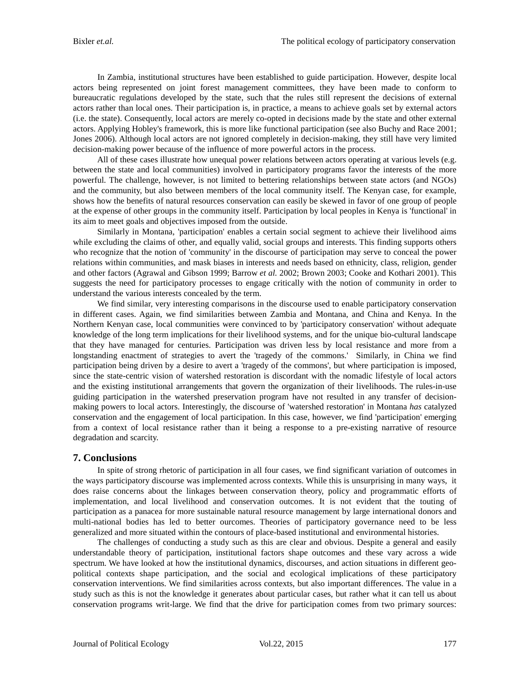In Zambia, institutional structures have been established to guide participation. However, despite local actors being represented on joint forest management committees, they have been made to conform to bureaucratic regulations developed by the state, such that the rules still represent the decisions of external actors rather than local ones. Their participation is, in practice, a means to achieve goals set by external actors (i.e. the state). Consequently, local actors are merely co-opted in decisions made by the state and other external actors. Applying Hobley's framework, this is more like functional participation (see also Buchy and Race 2001; Jones 2006). Although local actors are not ignored completely in decision-making, they still have very limited decision-making power because of the influence of more powerful actors in the process.

All of these cases illustrate how unequal power relations between actors operating at various levels (e.g. between the state and local communities) involved in participatory programs favor the interests of the more powerful. The challenge, however, is not limited to bettering relationships between state actors (and NGOs) and the community, but also between members of the local community itself. The Kenyan case, for example, shows how the benefits of natural resources conservation can easily be skewed in favor of one group of people at the expense of other groups in the community itself. Participation by local peoples in Kenya is 'functional' in its aim to meet goals and objectives imposed from the outside.

Similarly in Montana, 'participation' enables a certain social segment to achieve their livelihood aims while excluding the claims of other, and equally valid, social groups and interests. This finding supports others who recognize that the notion of 'community' in the discourse of participation may serve to conceal the power relations within communities, and mask biases in interests and needs based on ethnicity, class, religion, gender and other factors (Agrawal and Gibson 1999; Barrow *et al.* 2002; Brown 2003; Cooke and Kothari 2001). This suggests the need for participatory processes to engage critically with the notion of community in order to understand the various interests concealed by the term.

We find similar, very interesting comparisons in the discourse used to enable participatory conservation in different cases. Again, we find similarities between Zambia and Montana, and China and Kenya. In the Northern Kenyan case, local communities were convinced to by 'participatory conservation' without adequate knowledge of the long term implications for their livelihood systems, and for the unique bio-cultural landscape that they have managed for centuries. Participation was driven less by local resistance and more from a longstanding enactment of strategies to avert the 'tragedy of the commons.' Similarly, in China we find participation being driven by a desire to avert a 'tragedy of the commons', but where participation is imposed, since the state-centric vision of watershed restoration is discordant with the nomadic lifestyle of local actors and the existing institutional arrangements that govern the organization of their livelihoods. The rules-in-use guiding participation in the watershed preservation program have not resulted in any transfer of decisionmaking powers to local actors. Interestingly, the discourse of 'watershed restoration' in Montana *has* catalyzed conservation and the engagement of local participation. In this case, however, we find 'participation' emerging from a context of local resistance rather than it being a response to a pre-existing narrative of resource degradation and scarcity.

# **7. Conclusions**

In spite of strong rhetoric of participation in all four cases, we find significant variation of outcomes in the ways participatory discourse was implemented across contexts. While this is unsurprising in many ways, it does raise concerns about the linkages between conservation theory, policy and programmatic efforts of implementation, and local livelihood and conservation outcomes. It is not evident that the touting of participation as a panacea for more sustainable natural resource management by large international donors and multi-national bodies has led to better ourcomes. Theories of participatory governance need to be less generalized and more situated within the contours of place-based institutional and environmental histories.

The challenges of conducting a study such as this are clear and obvious. Despite a general and easily understandable theory of participation, institutional factors shape outcomes and these vary across a wide spectrum. We have looked at how the institutional dynamics, discourses, and action situations in different geopolitical contexts shape participation, and the social and ecological implications of these participatory conservation interventions. We find similarities across contexts, but also important differences. The value in a study such as this is not the knowledge it generates about particular cases, but rather what it can tell us about conservation programs writ-large. We find that the drive for participation comes from two primary sources: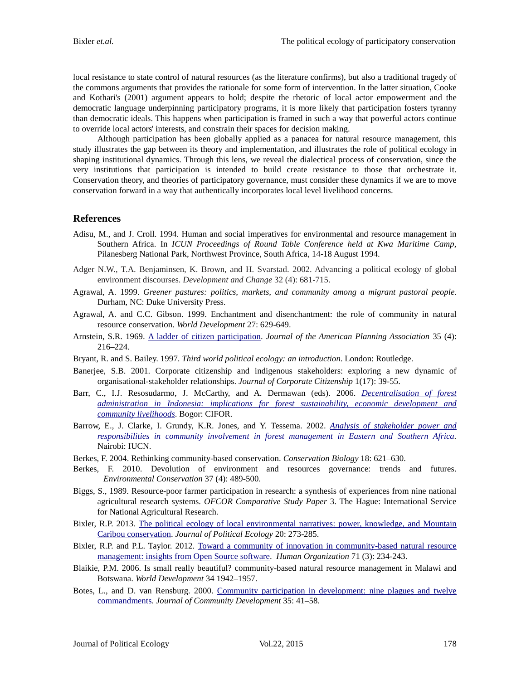local resistance to state control of natural resources (as the literature confirms), but also a traditional tragedy of the commons arguments that provides the rationale for some form of intervention. In the latter situation, Cooke and Kothari's (2001) argument appears to hold; despite the rhetoric of local actor empowerment and the democratic language underpinning participatory programs, it is more likely that participation fosters tyranny than democratic ideals. This happens when participation is framed in such a way that powerful actors continue to override local actors' interests, and constrain their spaces for decision making.

Although participation has been globally applied as a panacea for natural resource management, this study illustrates the gap between its theory and implementation, and illustrates the role of political ecology in shaping institutional dynamics. Through this lens, we reveal the dialectical process of conservation, since the very institutions that participation is intended to build create resistance to those that orchestrate it. Conservation theory, and theories of participatory governance, must consider these dynamics if we are to move conservation forward in a way that authentically incorporates local level livelihood concerns.

### **References**

- Adisu, M., and J. Croll. 1994. Human and social imperatives for environmental and resource management in Southern Africa. In *ICUN Proceedings of Round Table Conference held at Kwa Maritime Camp*, Pilanesberg National Park, Northwest Province, South Africa, 14-18 August 1994.
- Adger N.W., T.A. Benjaminsen, K. Brown, and H. Svarstad. 2002. Advancing a political ecology of global environment discourses. *Development and Change* 32 (4): 681-715.
- Agrawal, A. 1999. *Greener pastures: politics, markets, and community among a migrant pastoral people*. Durham, NC: Duke University Press.
- Agrawal, A. and C.C. Gibson. 1999. Enchantment and disenchantment: the role of community in natural resource conservation. *World Development* 27: 629-649.
- Arnstein, S.R. 1969. [A ladder of citizen participation.](http://lithgow-schmidt.dk/sherry-arnstein/ladder-of-citizen-participation.html) *Journal of the American Planning Association* 35 (4): 216–224.
- Bryant, R. and S. Bailey. 1997. *Third world political ecology: an introduction*. London: Routledge.
- Banerjee, S.B. 2001. Corporate citizenship and indigenous stakeholders: exploring a new dynamic of organisational-stakeholder relationships. *Journal of Corporate Citizenship* 1(17): 39-55.
- Barr, C., I.J. Resosudarmo, J. McCarthy, and A. Dermawan (eds). 2006. *[Decentralisation of forest](http://www.cifor.org/publications/pdf_files/Books/BBarr0601.pdf)  [administration in Indonesia: implications for forest sustainability, economic development and](http://www.cifor.org/publications/pdf_files/Books/BBarr0601.pdf)  [community livelihoods](http://www.cifor.org/publications/pdf_files/Books/BBarr0601.pdf)*. Bogor: CIFOR.
- Barrow, E., J. Clarke, I. Grundy, K.R. Jones, and Y. Tessema. 2002. *[Analysis of stakeholder power and](http://pgis-tk.cta.int/m04/docs/M04U03_power_analysis_%202000-019-09.pdf)  [responsibilities in community involvement in forest management in Eastern and Southern Africa.](http://pgis-tk.cta.int/m04/docs/M04U03_power_analysis_%202000-019-09.pdf)*  Nairobi: IUCN.
- Berkes, F. 2004. Rethinking community-based conservation. *Conservation Biology* 18: 621–630.
- Berkes, F. 2010. Devolution of environment and resources governance: trends and futures. *Environmental Conservation* 37 (4): 489-500.
- Biggs, S., 1989. Resource-poor farmer participation in research: a synthesis of experiences from nine national agricultural research systems. *OFCOR Comparative Study Paper* 3. The Hague: International Service for National Agricultural Research.
- Bixler, R.P. 2013*.* [The political ecology of local environmental narratives: power, knowledge, and Mountain](http://jpe.library.arizona.edu/volume_20/Bixler.pdf)  [Caribou conservation.](http://jpe.library.arizona.edu/volume_20/Bixler.pdf) *Journal of Political Ecology* 20: 273-285.
- Bixler, R.P. and P.L. Taylor. 2012*.* [Toward a community of innovation in community-based natural resource](http://www.researchgate.net/profile/Patrick_Bixler/publication/263965283_Towards_a_Community_of_Open_Innovation_in_Community-based_Natural_Resource_Management_Insights_from_Open_Source_Software/links/02e7e53c6c06685260000000.pdf)  [management: insights from Open Source software.](http://www.researchgate.net/profile/Patrick_Bixler/publication/263965283_Towards_a_Community_of_Open_Innovation_in_Community-based_Natural_Resource_Management_Insights_from_Open_Source_Software/links/02e7e53c6c06685260000000.pdf) *Human Organization* 71 (3): 234-243.
- Blaikie, P.M. 2006. Is small really beautiful? community-based natural resource management in Malawi and Botswana. *World Development* 34 1942–1957.
- Botes, L., and D. van Rensburg. 2000. [Community participation in development: nine plagues and twelve](https://utad1112gdl.wikispaces.com/file/view/CDJ_Participation.PDF)  [commandments.](https://utad1112gdl.wikispaces.com/file/view/CDJ_Participation.PDF) *Journal of Community Development* 35: 41–58.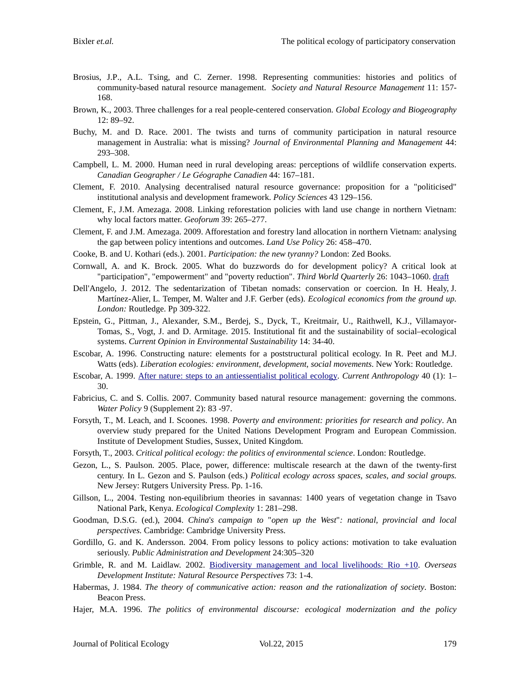- Brosius, J.P., A.L. Tsing, and C. Zerner. 1998. Representing communities: histories and politics of community-based natural resource management. *Society and Natural Resource Management* 11: 157- 168.
- Brown, K., 2003. Three challenges for a real people-centered conservation. *Global Ecology and Biogeography* 12: 89–92.
- Buchy, M. and D. Race. 2001. The twists and turns of community participation in natural resource management in Australia: what is missing? *Journal of Environmental Planning and Management* 44: 293–308.
- Campbell, L. M. 2000. Human need in rural developing areas: perceptions of wildlife conservation experts. *Canadian Geographer / Le Géographe Canadien* 44: 167–181.
- Clement, F. 2010. Analysing decentralised natural resource governance: proposition for a "politicised" institutional analysis and development framework. *Policy Sciences* 43 129–156.
- Clement, F., J.M. Amezaga. 2008. Linking reforestation policies with land use change in northern Vietnam: why local factors matter. *Geoforum* 39: 265–277.
- Clement, F. and J.M. Amezaga. 2009. Afforestation and forestry land allocation in northern Vietnam: analysing the gap between policy intentions and outcomes. *Land Use Policy* 26: 458–470.
- Cooke, B. and U. Kothari (eds.). 2001. *Participation: the new tyranny?* London: Zed Books.
- Cornwall, A. and K. Brock. 2005. What do buzzwords do for development policy? A critical look at "participation", "empowerment" and "poverty reduction". *Third World Quarterly* 26: 1043–1060. [draft](http://www.unrisd.org/80256B3C005BD6AB/%28httpAuxPages%29/3AB19BA1E9FD21A0C1256E7B004B7754/$file/Cornwall.pdf)
- Dell'Angelo, J. 2012. The sedentarization of Tibetan nomads: conservation or coercion. In H. Healy, J. Martínez-Alier, L. Temper, M. Walter and J.F. Gerber (eds). *Ecological economics from the ground up. London:* Routledge. Pp 309-322.
- Epstein, G., Pittman, J., Alexander, S.M., Berdej, S., Dyck, T., Kreitmair, U., Raithwell, K.J., Villamayor-Tomas, S., Vogt, J. and D. Armitage. 2015. Institutional fit and the sustainability of social–ecological systems. *Current Opinion in Environmental Sustainability* 14: 34-40.
- Escobar, A. 1996. Constructing nature: elements for a poststructural political ecology. In R. Peet and M.J. Watts (eds). *Liberation ecologies: environment, development, social movements*. New York: Routledge.
- Escobar, A. 1999. After nature: [steps to an antiessentialist political ecology.](http://anthro.vancouver.wsu.edu/media/Course_files/anth-490-edward-h-hagen/escobar-1999-after-nature-steps-to-an-antiessentialist-political-ecology.pdf) *Current Anthropology* 40 (1): 1– 30.
- Fabricius, C. and S. Collis. 2007. Community based natural resource management: governing the commons. *Water Policy* 9 (Supplement 2): 83 -97.
- Forsyth, T., M. Leach, and I. Scoones. 1998. *Poverty and environment: priorities for research and policy*. An overview study prepared for the United Nations Development Program and European Commission. Institute of Development Studies, Sussex, United Kingdom.
- Forsyth, T., 2003. *Critical political ecology: the politics of environmental science*. London: Routledge.
- Gezon, L., S. Paulson. 2005. Place, power, difference: multiscale research at the dawn of the twenty-first century. In L. Gezon and S. Paulson (eds.) *Political ecology across spaces, scales, and social groups.*  New Jersey: Rutgers University Press. Pp. 1-16.
- Gillson, L., 2004. Testing non-equilibrium theories in savannas: 1400 years of vegetation change in Tsavo National Park, Kenya. *Ecological Complexity* 1: 281–298.
- Goodman, D.S.G. (ed.), 2004. *China*'*s campaign to* "*open up the West*"*: national, provincial and local perspectives.* Cambridge: Cambridge University Press.
- Gordillo, G. and K. Andersson. 2004. From policy lessons to policy actions: motivation to take evaluation seriously. *Public Administration and Development* 24:305–320
- Grimble, R. and M. Laidlaw. 2002. [Biodiversity management and local livelihoods: Rio +10.](http://www.odi.org/sites/odi.org.uk/files/odi-assets/publications-opinion-files/2815.pdf) *Overseas Development Institute: Natural Resource Perspectives* 73: 1-4.
- Habermas, J. 1984. *The theory of communicative action: reason and the rationalization of society*. Boston: Beacon Press.
- Hajer, M.A. 1996. *The politics of environmental discourse: ecological modernization and the policy*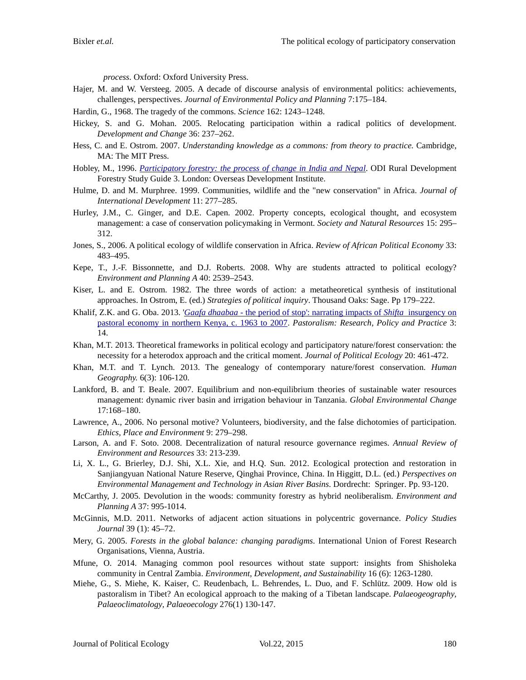*process*. Oxford: Oxford University Press.

- Hajer, M. and W. Versteeg. 2005. A decade of discourse analysis of environmental politics: achievements, challenges, perspectives. *Journal of Environmental Policy and Planning* 7:175–184.
- Hardin, G., 1968. The tragedy of the commons. *Science* 162: 1243–1248.
- Hickey, S. and G. Mohan. 2005. Relocating participation within a radical politics of development. *Development and Change* 36: 237–262.
- Hess, C. and E. Ostrom. 2007. *Understanding knowledge as a commons: from theory to practice.* Cambridge, MA: The MIT Press.
- Hobley, M., 1996. *[Participatory forestry: the process of change in India and Nepal](http://www.odi.org/sites/odi.org.uk/files/odi-assets/publications-opinion-files/8144.pdf)*. ODI Rural Development Forestry Study Guide 3. London: Overseas Development Institute.
- Hulme, D. and M. Murphree. 1999. Communities, wildlife and the "new conservation" in Africa. *Journal of International Development* 11: 277–285.
- Hurley, J.M., C. Ginger, and D.E. Capen. 2002. Property concepts, ecological thought, and ecosystem management: a case of conservation policymaking in Vermont. *Society and Natural Resources* 15: 295– 312.
- Jones, S., 2006. A political ecology of wildlife conservation in Africa. *Review of African Political Economy* 33: 483–495.
- Kepe, T., J.-F. Bissonnette, and D.J. Roberts. 2008. Why are students attracted to political ecology? *Environment and Planning A* 40: 2539–2543.
- Kiser, L. and E. Ostrom. 1982. The three words of action: a metatheoretical synthesis of institutional approaches. In Ostrom, E. (ed.) *Strategies of political inquiry*. Thousand Oaks: Sage. Pp 179–222.
- Khalif, Z.K. and G. Oba. 2013. '*Gaafa dhaabaa* [the period of stop': narrating impacts of](http://link.springer.com/article/10.1186%2F2041-7136-3-14%23page-1) *Shifta* insurgency on [pastoral economy in northern Kenya, c. 1963 to 2007.](http://link.springer.com/article/10.1186%2F2041-7136-3-14%23page-1) *Pastoralism: Research, Policy and Practice* 3: 14.
- Khan, M.T. 2013. Theoretical frameworks in political ecology and participatory nature/forest conservation: the necessity for a heterodox approach and the critical moment. *Journal of Political Ecology* 20: 461-472.
- Khan, M.T. and T. Lynch. 2013. The genealogy of contemporary nature/forest conservation. *Human Geography.* 6(3): 106-120.
- Lankford, B. and T. Beale. 2007. Equilibrium and non-equilibrium theories of sustainable water resources management: dynamic river basin and irrigation behaviour in Tanzania. *Global Environmental Change* 17:168–180.
- Lawrence, A., 2006. No personal motive? Volunteers, biodiversity, and the false dichotomies of participation. *Ethics, Place and Environment* 9: 279–298.
- Larson, A. and F. Soto. 2008. Decentralization of natural resource governance regimes. *Annual Review of Environment and Resources* 33: 213-239.
- Li, X. L., G. Brierley, D.J. Shi, X.L. Xie, and H.Q. Sun. 2012. Ecological protection and restoration in Sanjiangyuan National Nature Reserve, Qinghai Province, China. In Higgitt, D.L. (ed.) *Perspectives on Environmental Management and Technology in Asian River Basins*. Dordrecht: Springer. Pp. 93-120.
- McCarthy, J. 2005. Devolution in the woods: community forestry as hybrid neoliberalism. *Environment and Planning A* 37: 995-1014.
- McGinnis, M.D. 2011. Networks of adjacent action situations in polycentric governance. *Policy Studies Journal* 39 (1): 45–72.
- Mery, G. 2005. *Forests in the global balance: changing paradigms*. International Union of Forest Research Organisations, Vienna, Austria.
- Mfune, O. 2014. Managing common pool resources without state support: insights from Shisholeka community in Central Zambia. *Environment, Development, and Sustainability* 16 (6): 1263-1280.
- Miehe, G., S. Miehe, K. Kaiser, C. Reudenbach, L. Behrendes, L. Duo, and F. Schlütz. 2009. How old is pastoralism in Tibet? An ecological approach to the making of a Tibetan landscape. *Palaeogeography, Palaeoclimatology, Palaeoecology* 276(1) 130-147.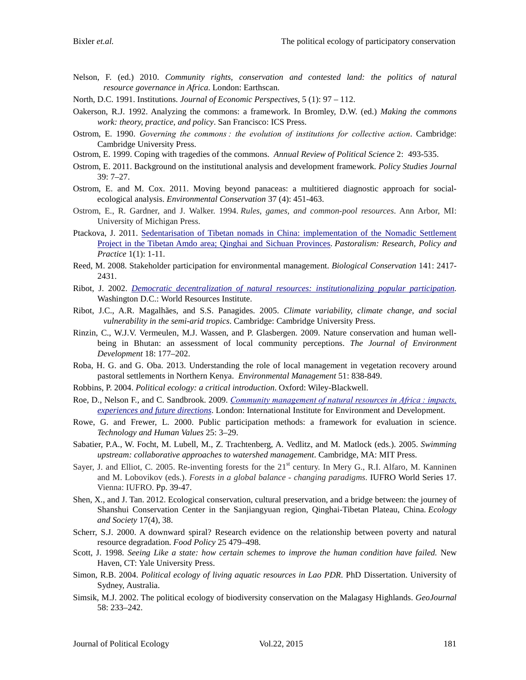- Nelson, F. (ed.) 2010. *Community rights, conservation and contested land: the politics of natural resource governance in Africa*. London: Earthscan.
- North, D.C. 1991. Institutions. *Journal of Economic Perspectives,* 5 (1): 97 112.
- Oakerson, R.J. 1992. Analyzing the commons: a framework. In Bromley, D.W. (ed.) *Making the commons work: theory, practice, and policy*. San Francisco: ICS Press.
- Ostrom, E. 1990. *Governing the commons : the evolution of institutions for collective action*. Cambridge: Cambridge University Press.
- Ostrom, E. 1999. Coping with tragedies of the commons. *Annual Review of Political Science* 2: 493-535.
- Ostrom, E. 2011. Background on the institutional analysis and development framework. *Policy Studies Journal* 39: 7–27.
- Ostrom, E. and M. Cox. 2011. Moving beyond panaceas: a multitiered diagnostic approach for socialecological analysis. *Environmental Conservation* 37 (4): 451-463.
- Ostrom, E., R. Gardner, and J. Walker. 1994. *Rules, games, and common-pool resources*. Ann Arbor, MI: University of Michigan Press.
- Ptackova, J. 2011. [Sedentarisation of Tibetan nomads in China: implementation of the Nomadic Settlement](http://www.pastoralismjournal.com/content/pdf/2041-7136-1-4.pdf)  [Project in the Tibetan Amdo area;](http://www.pastoralismjournal.com/content/pdf/2041-7136-1-4.pdf) Qinghai and Sichuan Provinces. *Pastoralism: Research, Policy and Practice* 1(1): 1-11.
- Reed, M. 2008. Stakeholder participation for environmental management. *Biological Conservation* 141: 2417- 2431.
- Ribot, J. 2002. *[Democratic decentralization of natural resources: institutionalizing popular participation.](http://pdf.wri.org/ddnr_full_revised.pdf)*  Washington D.C.: World Resources Institute.
- Ribot, J.C., A.R. Magalhães, and S.S. Panagides. 2005. *Climate variability, climate change, and social vulnerability in the semi-arid tropics*. Cambridge: Cambridge University Press.
- Rinzin, C., W.J.V. Vermeulen, M.J. Wassen, and P. Glasbergen. 2009. Nature conservation and human wellbeing in Bhutan: an assessment of local community perceptions. *The Journal of Environment Development* 18: 177–202.
- Roba, H. G. and G. Oba. 2013. Understanding the role of local management in vegetation recovery around pastoral settlements in Northern Kenya. *Environmental Management* 51: 838-849.
- Robbins, P. 2004. *Political ecology: a critical introduction*. Oxford: Wiley-Blackwell.
- Roe, D., Nelson F., and C. Sandbrook. 2009. *[Community management of natural resources in Africa : impacts,](http://pubs.iied.org/17503IIED.html)  [experiences and future directions](http://pubs.iied.org/17503IIED.html)*. London: International Institute for Environment and Development.
- Rowe, G. and Frewer, L. 2000. Public participation methods: a framework for evaluation in science. *Technology and Human Values* 25: 3–29.
- Sabatier, P.A., W. Focht, M. Lubell, M., Z. Trachtenberg, A. Vedlitz, and M. Matlock (eds.). 2005. *Swimming upstream: collaborative approaches to watershed management*. Cambridge, MA: MIT Press.
- Sayer, J. and Elliot, C. 2005. Re-inventing forests for the  $21<sup>st</sup>$  century. In Mery G., R.I. Alfaro, M. Kanninen and M. Lobovikov (eds.). *Forests in a global balance - changing paradigms*. IUFRO World Series 17. Vienna: IUFRO. Pp. 39-47.
- Shen, X., and J. Tan. 2012. Ecological conservation, cultural preservation, and a bridge between: the journey of Shanshui Conservation Center in the Sanjiangyuan region, Qinghai-Tibetan Plateau, China. *Ecology and Society* 17(4), 38.
- Scherr, S.J. 2000. A downward spiral? Research evidence on the relationship between poverty and natural resource degradation. *Food Policy* 25 479–498.
- Scott, J. 1998. *Seeing Like a state: how certain schemes to improve the human condition have failed*. New Haven, CT: Yale University Press.
- Simon, R.B. 2004. *Political ecology of living aquatic resources in Lao PDR*. PhD Dissertation. University of Sydney, Australia.
- Simsik, M.J. 2002. The political ecology of biodiversity conservation on the Malagasy Highlands. *GeoJournal*  58: 233–242.